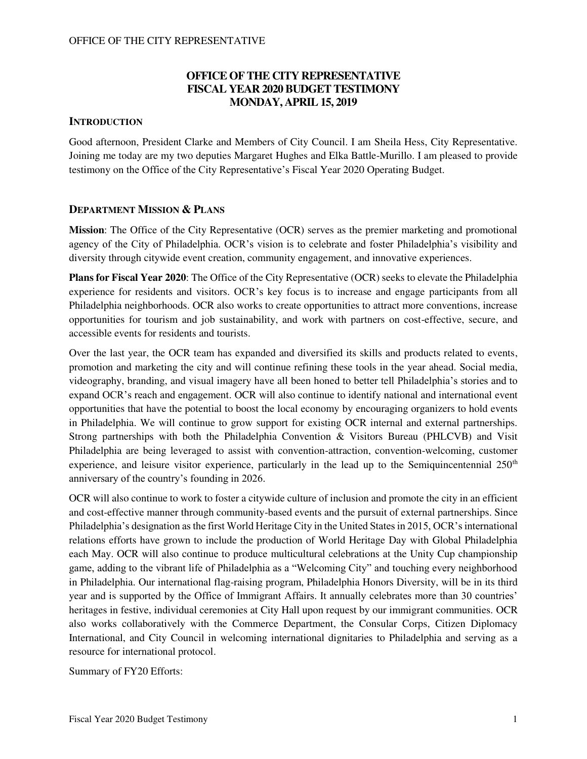## **OFFICE OF THE CITY REPRESENTATIVE FISCAL YEAR 2020 BUDGET TESTIMONY MONDAY, APRIL 15, 2019**

### **INTRODUCTION**

Good afternoon, President Clarke and Members of City Council. I am Sheila Hess, City Representative. Joining me today are my two deputies Margaret Hughes and Elka Battle-Murillo. I am pleased to provide testimony on the Office of the City Representative's Fiscal Year 2020 Operating Budget.

### **DEPARTMENT MISSION & PLANS**

**Mission**: The Office of the City Representative (OCR) serves as the premier marketing and promotional agency of the City of Philadelphia. OCR's vision is to celebrate and foster Philadelphia's visibility and diversity through citywide event creation, community engagement, and innovative experiences.

**Plans for Fiscal Year 2020**: The Office of the City Representative (OCR) seeks to elevate the Philadelphia experience for residents and visitors. OCR's key focus is to increase and engage participants from all Philadelphia neighborhoods. OCR also works to create opportunities to attract more conventions, increase opportunities for tourism and job sustainability, and work with partners on cost-effective, secure, and accessible events for residents and tourists.

Over the last year, the OCR team has expanded and diversified its skills and products related to events, promotion and marketing the city and will continue refining these tools in the year ahead. Social media, videography, branding, and visual imagery have all been honed to better tell Philadelphia's stories and to expand OCR's reach and engagement. OCR will also continue to identify national and international event opportunities that have the potential to boost the local economy by encouraging organizers to hold events in Philadelphia. We will continue to grow support for existing OCR internal and external partnerships. Strong partnerships with both the Philadelphia Convention & Visitors Bureau (PHLCVB) and Visit Philadelphia are being leveraged to assist with convention-attraction, convention-welcoming, customer experience, and leisure visitor experience, particularly in the lead up to the Semiquincentennial  $250<sup>th</sup>$ anniversary of the country's founding in 2026.

OCR will also continue to work to foster a citywide culture of inclusion and promote the city in an efficient and cost-effective manner through community-based events and the pursuit of external partnerships. Since Philadelphia's designation as the first World Heritage City in the United States in 2015, OCR's international relations efforts have grown to include the production of World Heritage Day with Global Philadelphia each May. OCR will also continue to produce multicultural celebrations at the Unity Cup championship game, adding to the vibrant life of Philadelphia as a "Welcoming City" and touching every neighborhood in Philadelphia. Our international flag-raising program, Philadelphia Honors Diversity, will be in its third year and is supported by the Office of Immigrant Affairs. It annually celebrates more than 30 countries' heritages in festive, individual ceremonies at City Hall upon request by our immigrant communities. OCR also works collaboratively with the Commerce Department, the Consular Corps, Citizen Diplomacy International, and City Council in welcoming international dignitaries to Philadelphia and serving as a resource for international protocol.

Summary of FY20 Efforts: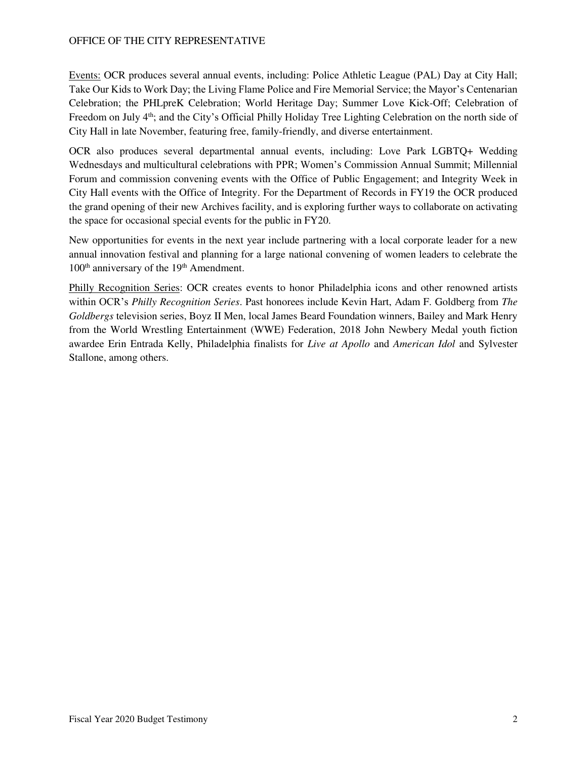Events: OCR produces several annual events, including: Police Athletic League (PAL) Day at City Hall; Take Our Kids to Work Day; the Living Flame Police and Fire Memorial Service; the Mayor's Centenarian Celebration; the PHLpreK Celebration; World Heritage Day; Summer Love Kick-Off; Celebration of Freedom on July 4<sup>th</sup>; and the City's Official Philly Holiday Tree Lighting Celebration on the north side of City Hall in late November, featuring free, family-friendly, and diverse entertainment.

OCR also produces several departmental annual events, including: Love Park LGBTQ+ Wedding Wednesdays and multicultural celebrations with PPR; Women's Commission Annual Summit; Millennial Forum and commission convening events with the Office of Public Engagement; and Integrity Week in City Hall events with the Office of Integrity. For the Department of Records in FY19 the OCR produced the grand opening of their new Archives facility, and is exploring further ways to collaborate on activating the space for occasional special events for the public in FY20.

New opportunities for events in the next year include partnering with a local corporate leader for a new annual innovation festival and planning for a large national convening of women leaders to celebrate the 100<sup>th</sup> anniversary of the 19<sup>th</sup> Amendment.

Philly Recognition Series: OCR creates events to honor Philadelphia icons and other renowned artists within OCR's *Philly Recognition Series*. Past honorees include Kevin Hart, Adam F. Goldberg from *The Goldbergs* television series, Boyz II Men, local James Beard Foundation winners, Bailey and Mark Henry from the World Wrestling Entertainment (WWE) Federation, 2018 John Newbery Medal youth fiction awardee Erin Entrada Kelly, Philadelphia finalists for *Live at Apollo* and *American Idol* and Sylvester Stallone, among others.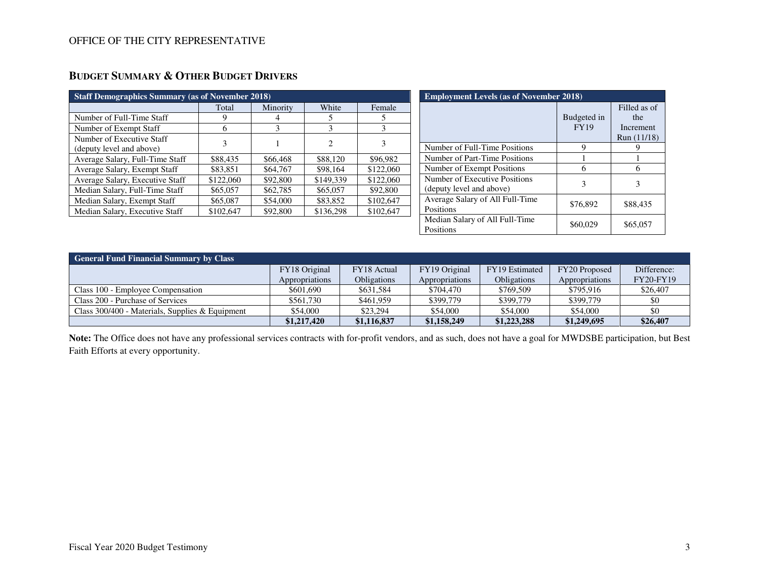| Total<br>9<br>6 | Minority<br>4<br>3 | White<br>5<br>3 | Female<br>5 |
|-----------------|--------------------|-----------------|-------------|
|                 |                    |                 |             |
|                 |                    |                 |             |
|                 |                    |                 | 3           |
| 3               |                    | $\overline{c}$  | 3           |
| \$88,435        | \$66,468           | \$88,120        | \$96,982    |
| \$83,851        | \$64,767           | \$98,164        | \$122,060   |
| \$122,060       | \$92,800           | \$149,339       | \$122,060   |
| \$65,057        | \$62,785           | \$65,057        | \$92,800    |
| \$65,087        | \$54,000           | \$83,852        | \$102,647   |
| \$102,647       | \$92,800           | \$136,298       | \$102,647   |
|                 |                    |                 |             |

| <b>Employment Levels (as of November 2018)</b>            |                            |                                                 |  |  |  |
|-----------------------------------------------------------|----------------------------|-------------------------------------------------|--|--|--|
|                                                           | Budgeted in<br><b>FY19</b> | Filled as of<br>the<br>Increment<br>Run (11/18) |  |  |  |
| Number of Full-Time Positions                             | 9                          |                                                 |  |  |  |
| Number of Part-Time Positions                             |                            |                                                 |  |  |  |
| Number of Exempt Positions                                | 6                          | 6                                               |  |  |  |
| Number of Executive Positions<br>(deputy level and above) | 3                          | 3                                               |  |  |  |
| Average Salary of All Full-Time<br>Positions              | \$76,892                   | \$88,435                                        |  |  |  |
| Median Salary of All Full-Time<br>Positions               | \$60,029                   | \$65,057                                        |  |  |  |

| <b>General Fund Financial Summary by Class</b>    |                |                    |                |                    |                |                  |
|---------------------------------------------------|----------------|--------------------|----------------|--------------------|----------------|------------------|
|                                                   | FY18 Original  | FY18 Actual        | FY19 Original  | FY19 Estimated     | FY20 Proposed  | Difference:      |
|                                                   | Appropriations | <b>Obligations</b> | Appropriations | <b>Obligations</b> | Appropriations | <b>FY20-FY19</b> |
| Class 100 - Employee Compensation                 | \$601,690      | \$631.584          | \$704.470      | \$769,509          | \$795,916      | \$26,407         |
| Class 200 - Purchase of Services                  | \$561.730      | \$461.959          | \$399,779      | \$399,779          | \$399,779      | \$0              |
| Class $300/400$ - Materials, Supplies & Equipment | \$54,000       | \$23,294           | \$54,000       | \$54,000           | \$54,000       | \$0              |
|                                                   | \$1,217,420    | \$1,116,837        | \$1,158,249    | \$1,223,288        | \$1,249,695    | \$26,407         |

**Note:** The Office does not have any professional services contracts with for-profit vendors, and as such, does not have a goal for MWDSBE participation, but Best Faith Efforts at every opportunity.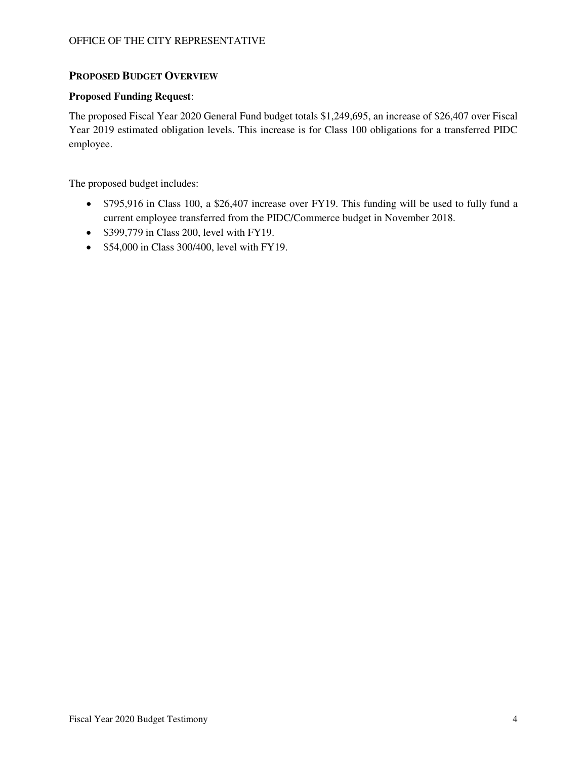### **PROPOSED BUDGET OVERVIEW**

#### **Proposed Funding Request**:

The proposed Fiscal Year 2020 General Fund budget totals \$1,249,695, an increase of \$26,407 over Fiscal Year 2019 estimated obligation levels. This increase is for Class 100 obligations for a transferred PIDC employee.

The proposed budget includes:

- \$795,916 in Class 100, a \$26,407 increase over FY19. This funding will be used to fully fund a current employee transferred from the PIDC/Commerce budget in November 2018.
- \$399,779 in Class 200, level with FY19.
- \$54,000 in Class 300/400, level with FY19.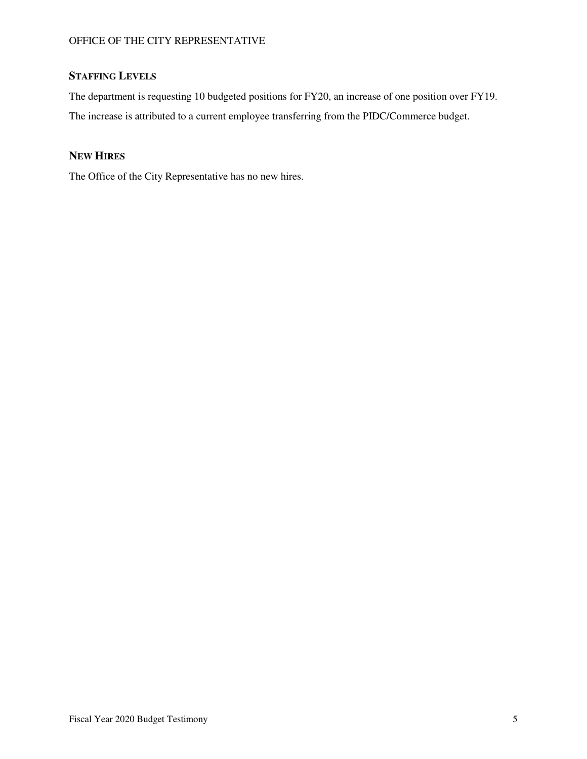# **STAFFING LEVELS**

The department is requesting 10 budgeted positions for FY20, an increase of one position over FY19. The increase is attributed to a current employee transferring from the PIDC/Commerce budget.

## **NEW HIRES**

The Office of the City Representative has no new hires.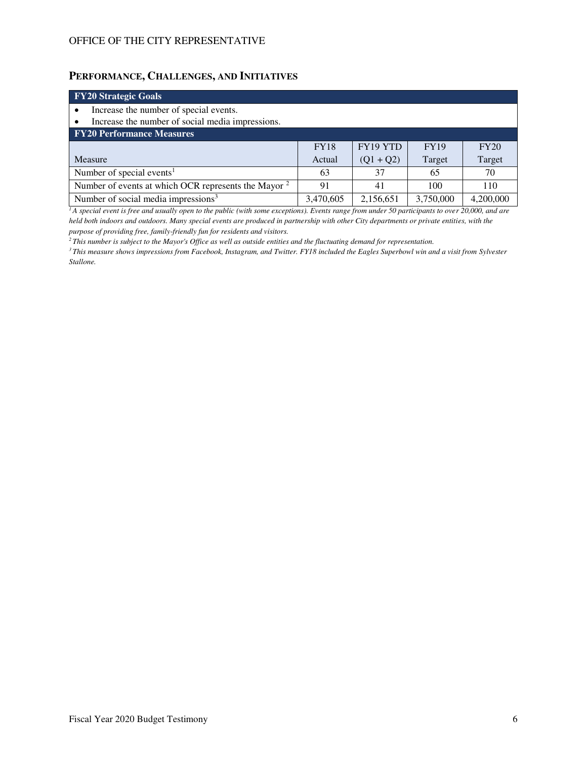## **PERFORMANCE, CHALLENGES, AND INITIATIVES**

| <b>FY20 Strategic Goals</b>                                     |             |             |             |             |  |  |
|-----------------------------------------------------------------|-------------|-------------|-------------|-------------|--|--|
| Increase the number of special events.                          |             |             |             |             |  |  |
| Increase the number of social media impressions.                |             |             |             |             |  |  |
| <b>FY20 Performance Measures</b>                                |             |             |             |             |  |  |
|                                                                 | <b>FY18</b> | FY19 YTD    | <b>FY19</b> | <b>FY20</b> |  |  |
| Measure                                                         | Actual      | $(Q1 + Q2)$ | Target      | Target      |  |  |
| Number of special events <sup>1</sup>                           | 63          | 37          | 65          | 70          |  |  |
| Number of events at which OCR represents the Mayor <sup>2</sup> | 91          | 41          | 100         | 110         |  |  |
| Number of social media impressions <sup>3</sup>                 | 3,470,605   | 2,156,651   | 3,750,000   | 4,200,000   |  |  |

<sup>1</sup>*A special event is free and usually open to the public (with some exceptions). Events range from under 50 participants to over 20,000, and are held both indoors and outdoors. Many special events are produced in partnership with other City departments or private entities, with the purpose of providing free, family-friendly fun for residents and visitors.* 

*<sup>2</sup>This number is subject to the Mayor's Office as well as outside entities and the fluctuating demand for representation.*

*<sup>3</sup>This measure shows impressions from Facebook, Instagram, and Twitter. FY18 included the Eagles Superbowl win and a visit from Sylvester Stallone.*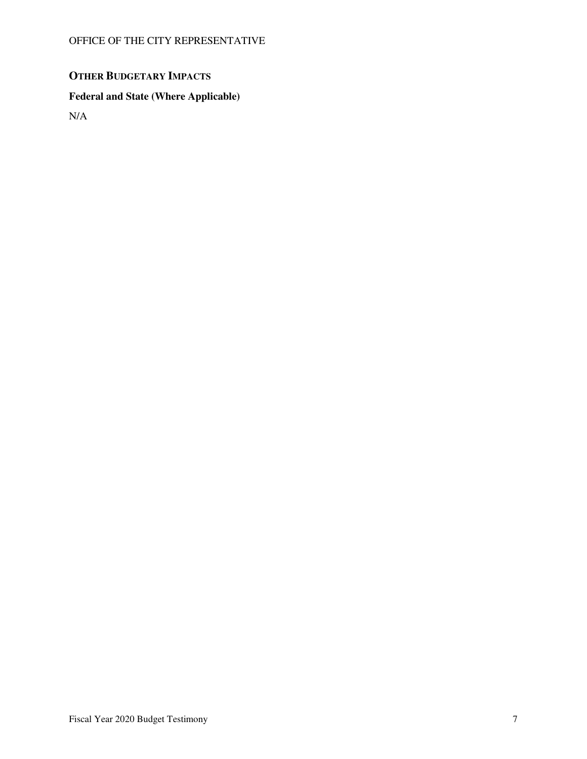# **OTHER BUDGETARY IMPACTS**

# **Federal and State (Where Applicable)**

N/A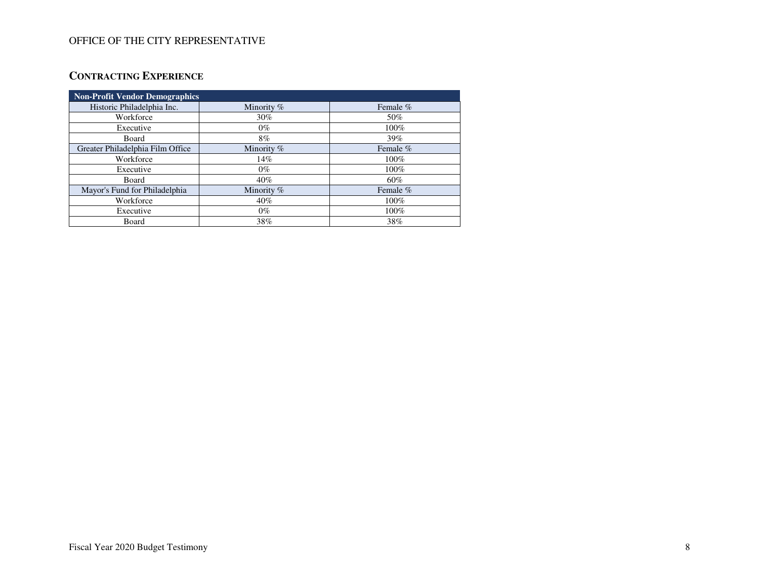# **CONTRACTING EXPERIENCE**

| <b>Non-Profit Vendor Demographics</b> |            |          |  |  |  |  |
|---------------------------------------|------------|----------|--|--|--|--|
| Historic Philadelphia Inc.            | Minority % | Female % |  |  |  |  |
| Workforce                             | $30\%$     | 50%      |  |  |  |  |
| Executive                             | $0\%$      | 100%     |  |  |  |  |
| Board                                 | $8\%$      | 39%      |  |  |  |  |
| Greater Philadelphia Film Office      | Minority % | Female % |  |  |  |  |
| Workforce                             | 14%        | 100%     |  |  |  |  |
| Executive                             | $0\%$      | 100%     |  |  |  |  |
| Board                                 | $40\%$     | 60%      |  |  |  |  |
| Mayor's Fund for Philadelphia         | Minority % | Female % |  |  |  |  |
| Workforce                             | 40%        | 100%     |  |  |  |  |
| Executive                             | $0\%$      | 100%     |  |  |  |  |
| Board                                 | 38%        | 38%      |  |  |  |  |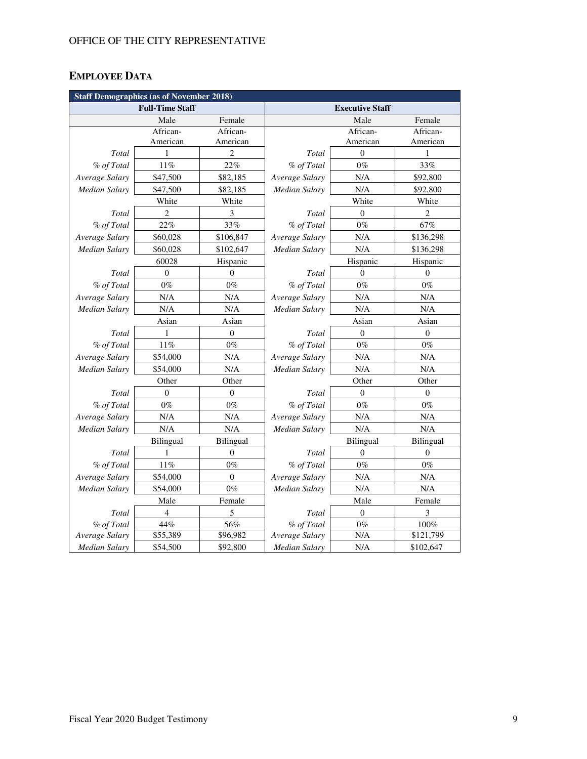# **EMPLOYEE DATA**

| <b>Staff Demographics (as of November 2018)</b> |                  |                  |                        |                |                  |  |
|-------------------------------------------------|------------------|------------------|------------------------|----------------|------------------|--|
| <b>Full-Time Staff</b>                          |                  |                  | <b>Executive Staff</b> |                |                  |  |
|                                                 | Male             | Female           |                        | Male           | Female           |  |
|                                                 | African-         | African-         |                        | African-       | African-         |  |
|                                                 | American         | American         |                        | American       | American         |  |
| Total                                           | 1                | 2                | Total                  | $\mathbf{0}$   | 1                |  |
| % of Total                                      | 11%              | 22%              | % of Total             | $0\%$          | 33%              |  |
| Average Salary                                  | \$47,500         | \$82,185         | Average Salary         | N/A            | \$92,800         |  |
| <b>Median Salary</b>                            | \$47,500         | \$82,185         | <b>Median Salary</b>   | N/A            | \$92,800         |  |
|                                                 | White            | White            |                        | White          | White            |  |
| Total                                           | $\overline{2}$   | 3                | Total                  | $\Omega$       | $\overline{c}$   |  |
| % of Total                                      | 22%              | 33%              | % of Total             | $0\%$          | 67%              |  |
| Average Salary                                  | \$60,028         | \$106,847        | Average Salary         | N/A            | \$136,298        |  |
| <b>Median Salary</b>                            | \$60,028         | \$102,647        | Median Salary          | N/A            | \$136,298        |  |
|                                                 | 60028            | Hispanic         |                        | Hispanic       | Hispanic         |  |
| Total                                           | $\overline{0}$   | $\mathbf{0}$     | Total                  | $\theta$       | $\theta$         |  |
| % of Total                                      | $0\%$            | $0\%$            | % of Total             | $0\%$          | $0\%$            |  |
| Average Salary                                  | N/A              | N/A              | Average Salary         | N/A            | N/A              |  |
| <b>Median Salary</b>                            | N/A              | N/A              | <b>Median Salary</b>   | N/A            | N/A              |  |
|                                                 | Asian            | Asian            | Asian                  |                | Asian            |  |
| Total                                           | 1                | $\boldsymbol{0}$ | Total                  | $\theta$       | $\boldsymbol{0}$ |  |
| % of Total                                      | $11\%$           | $0\%$            | % of Total             | $0\%$          | $0\%$            |  |
| Average Salary                                  | \$54,000         | N/A              | Average Salary         | N/A            | $\rm N/A$        |  |
| <b>Median Salary</b>                            | \$54,000         | N/A              | <b>Median Salary</b>   | N/A            | $\rm N/A$        |  |
|                                                 | Other            | Other            | Other<br>Other         |                |                  |  |
| Total                                           | $\boldsymbol{0}$ | $\boldsymbol{0}$ | Total                  | $\overline{0}$ | $\boldsymbol{0}$ |  |
| % of Total                                      | $0\%$            | $0\%$            | % of Total             | $0\%$          | $0\%$            |  |
| Average Salary                                  | N/A              | N/A              | Average Salary         | N/A            | N/A              |  |
| Median Salary                                   | N/A              | N/A              | <b>Median Salary</b>   | N/A            | N/A              |  |
|                                                 | Bilingual        | Bilingual        |                        | Bilingual      | Bilingual        |  |
| Total                                           | 1                | $\mathbf{0}$     | Total                  | $\Omega$       | $\theta$         |  |
| % of Total                                      | $11\%$           | $0\%$            | % of Total             | $0\%$          | $0\%$            |  |
| Average Salary                                  | \$54,000         | $\theta$         | Average Salary         | N/A            | N/A              |  |
| Median Salary                                   | \$54,000         | $0\%$            | <b>Median Salary</b>   | N/A            | N/A              |  |
|                                                 | Male             | Female           |                        | Male           | Female           |  |
| Total                                           | $\overline{4}$   | 5                | Total                  | $\overline{0}$ | 3                |  |
| % of Total                                      | 44%              | 56%              | % of Total             | $0\%$          | $100\%$          |  |
| Average Salary                                  | \$55,389         | \$96,982         | Average Salary         | N/A            | \$121,799        |  |
| <b>Median Salary</b>                            | \$54,500         | \$92,800         | <b>Median Salary</b>   | N/A            | \$102,647        |  |